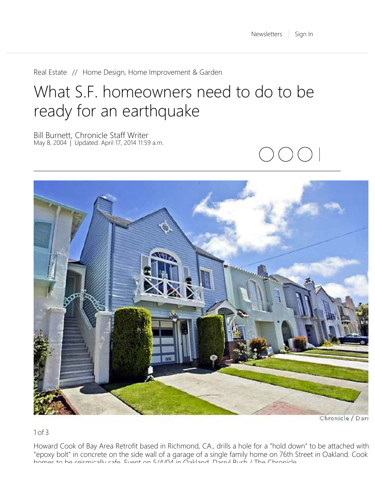[Real Estate](https://www.sfgate.com/realestate/) // [Home Design, Home Improvement & Garden](https://www.sfgate.com/homeandgarden/)

# What S.F. homeowners need to do to be ready for an earthquake

Bill Burnett, Chronicle Staff Writer May 8, 2004 | Updated: April 17, 2014 11:59 a.m.



Chronicle / Darr

1 of 3

Howard Cook of Bay Area Retrofit based in Richmond, CA., drills a hole for a "hold down" to be attached with "epoxy bolt" in concrete on the side wall of a garage of a single family home on 76th Street in Oakland. Cook homes to be seismically safe Event on 5/4/04 in Oakland Darryl Bush / The Chronicle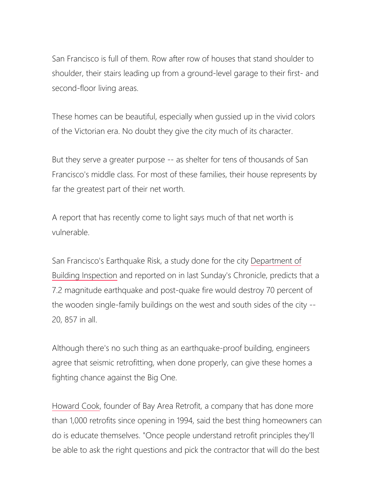San Francisco is full of them. Row after row of houses that stand shoulder to shoulder, their stairs leading up from a ground-level garage to their first- and second-floor living areas.

These homes can be beautiful, especially when gussied up in the vivid colors of the Victorian era. No doubt they give the city much of its character.

But they serve a greater purpose -- as shelter for tens of thousands of San Francisco's middle class. For most of these families, their house represents by far the greatest part of their net worth.

A report that has recently come to light says much of that net worth is vulnerable.

San Francisco's Earthquake Risk, a study done for the city [Department of](https://www.sfgate.com/search/?action=search&channel=homeandgarden&inlineLink=1&searchindex=solr&query=%22Department+of+Building+Inspection%22) [Building Inspection](https://www.sfgate.com/search/?action=search&channel=homeandgarden&inlineLink=1&searchindex=solr&query=%22Department+of+Building+Inspection%22) and reported on in last Sunday's Chronicle, predicts that a 7.2 magnitude earthquake and post-quake fire would destroy 70 percent of the wooden single-family buildings on the west and south sides of the city -- 20, 857 in all.

Although there's no such thing as an earthquake-proof building, engineers agree that seismic retrofitting, when done properly, can give these homes a fighting chance against the Big One.

[Howard Cook](https://www.sfgate.com/search/?action=search&channel=homeandgarden&inlineLink=1&searchindex=solr&query=%22Howard+Cook%22), founder of Bay Area Retrofit, a company that has done more than 1,000 retrofits since opening in 1994, said the best thing homeowners can do is educate themselves. "Once people understand retrofit principles they'll be able to ask the right questions and pick the contractor that will do the best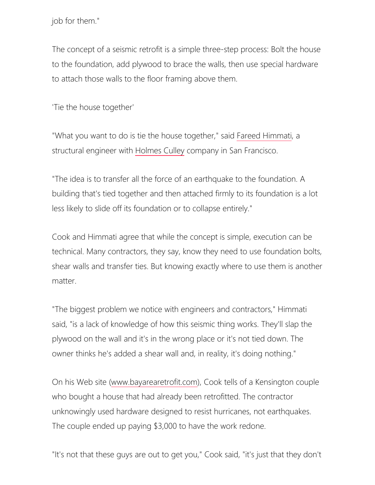job for them."

The concept of a seismic retrofit is a simple three-step process: Bolt the house to the foundation, add plywood to brace the walls, then use special hardware to attach those walls to the floor framing above them.

'Tie the house together'

"What you want to do is tie the house together," said [Fareed Himmati](https://www.sfgate.com/search/?action=search&channel=homeandgarden&inlineLink=1&searchindex=solr&query=%22Fareed+Himmati%22), a structural engineer with [Holmes Culley](https://www.sfgate.com/search/?action=search&channel=homeandgarden&inlineLink=1&searchindex=solr&query=%22Holmes+Culley%22) company in San Francisco.

"The idea is to transfer all the force of an earthquake to the foundation. A building that's tied together and then attached firmly to its foundation is a lot less likely to slide off its foundation or to collapse entirely."

Cook and Himmati agree that while the concept is simple, execution can be technical. Many contractors, they say, know they need to use foundation bolts, shear walls and transfer ties. But knowing exactly where to use them is another matter.

"The biggest problem we notice with engineers and contractors," Himmati said, "is a lack of knowledge of how this seismic thing works. They'll slap the plywood on the wall and it's in the wrong place or it's not tied down. The owner thinks he's added a shear wall and, in reality, it's doing nothing."

On his Web site [\(www.bayarearetrofit.com](http://www.bayarearetrofit.com/)), Cook tells of a Kensington couple who bought a house that had already been retrofitted. The contractor unknowingly used hardware designed to resist hurricanes, not earthquakes. The couple ended up paying \$3,000 to have the work redone.

"It's not that these guys are out to get you," Cook said, "it's just that they don't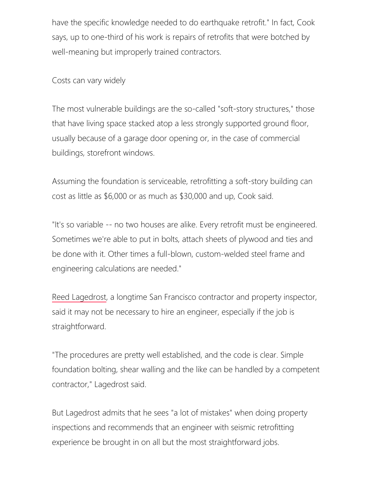have the specific knowledge needed to do earthquake retrofit." In fact, Cook says, up to one-third of his work is repairs of retrofits that were botched by well-meaning but improperly trained contractors.

Costs can vary widely

The most vulnerable buildings are the so-called "soft-story structures," those that have living space stacked atop a less strongly supported ground floor, usually because of a garage door opening or, in the case of commercial buildings, storefront windows.

Assuming the foundation is serviceable, retrofitting a soft-story building can cost as little as \$6,000 or as much as \$30,000 and up, Cook said.

"It's so variable -- no two houses are alike. Every retrofit must be engineered. Sometimes we're able to put in bolts, attach sheets of plywood and ties and be done with it. Other times a full-blown, custom-welded steel frame and engineering calculations are needed."

[Reed Lagedrost](https://www.sfgate.com/search/?action=search&channel=homeandgarden&inlineLink=1&searchindex=solr&query=%22Reed+Lagedrost%22), a longtime San Francisco contractor and property inspector, said it may not be necessary to hire an engineer, especially if the job is straightforward.

"The procedures are pretty well established, and the code is clear. Simple foundation bolting, shear walling and the like can be handled by a competent contractor," Lagedrost said.

But Lagedrost admits that he sees "a lot of mistakes" when doing property inspections and recommends that an engineer with seismic retrofitting experience be brought in on all but the most straightforward jobs.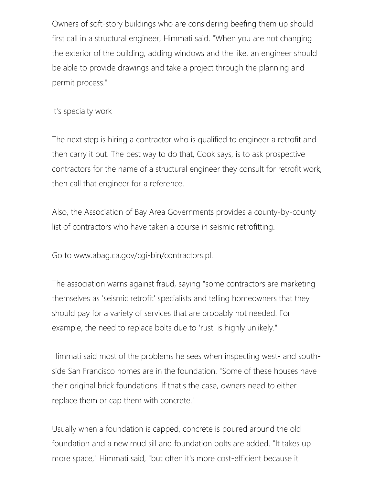Owners of soft-story buildings who are considering beefing them up should first call in a structural engineer, Himmati said. "When you are not changing the exterior of the building, adding windows and the like, an engineer should be able to provide drawings and take a project through the planning and permit process."

#### It's specialty work

The next step is hiring a contractor who is qualified to engineer a retrofit and then carry it out. The best way to do that, Cook says, is to ask prospective contractors for the name of a structural engineer they consult for retrofit work, then call that engineer for a reference.

Also, the Association of Bay Area Governments provides a county-by-county list of contractors who have taken a course in seismic retrofitting.

#### Go to [www.abag.ca.gov/cgi-bin/contractors.pl](http://www.abag.ca.gov/cgi-bin/contractors.pl).

The association warns against fraud, saying "some contractors are marketing themselves as 'seismic retrofit' specialists and telling homeowners that they should pay for a variety of services that are probably not needed. For example, the need to replace bolts due to 'rust' is highly unlikely."

Himmati said most of the problems he sees when inspecting west- and southside San Francisco homes are in the foundation. "Some of these houses have their original brick foundations. If that's the case, owners need to either replace them or cap them with concrete."

Usually when a foundation is capped, concrete is poured around the old foundation and a new mud sill and foundation bolts are added. "It takes up more space," Himmati said, "but often it's more cost-efficient because it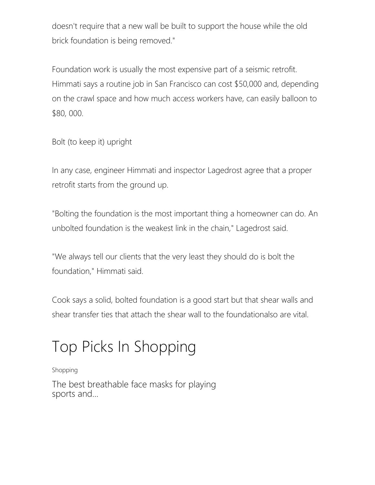doesn't require that a new wall be built to support the house while the old brick foundation is being removed."

Foundation work is usually the most expensive part of a seismic retrofit. Himmati says a routine job in San Francisco can cost \$50,000 and, depending on the crawl space and how much access workers have, can easily balloon to \$80, 000.

Bolt (to keep it) upright

In any case, engineer Himmati and inspector Lagedrost agree that a proper retrofit starts from the ground up.

"Bolting the foundation is the most important thing a homeowner can do. An unbolted foundation is the weakest link in the chain," Lagedrost said.

"We always tell our clients that the very least they should do is bolt the foundation," Himmati said.

Cook says a solid, bolted foundation is a good start but that shear walls and shear transfer ties that attach the shear wall to the foundationalso are vital.

# Top Picks In Shopping

#### [Shopping](https://www.sfgate.com/shopping/)

[The best breathable face masks for playing](https://www.sfgate.com/shopping/article/best-breathable-face-masks-sports-exercise-15334081.php) [sports and...](https://www.sfgate.com/shopping/article/best-breathable-face-masks-sports-exercise-15334081.php)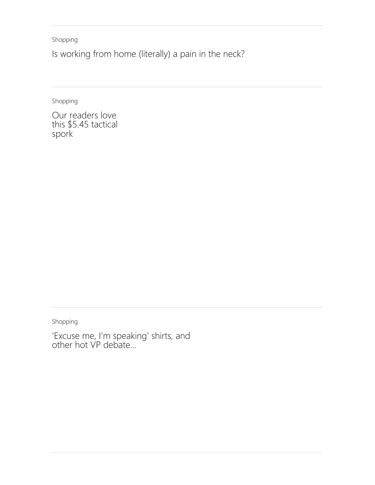[Shopping](https://www.sfgate.com/shopping/)

[Is working from home \(literally\) a pain in the neck?](https://www.sfgate.com/shopping/article/how-to-improve-and-prevent-tech-neck-15631355.php)

[Shopping](https://www.sfgate.com/shopping/)

[Our readers love](https://www.sfgate.com/shopping/article/tactical-spork-for-camping-knife-15612475.php) [this \\$5.45 tactical](https://www.sfgate.com/shopping/article/tactical-spork-for-camping-knife-15612475.php) [spork](https://www.sfgate.com/shopping/article/tactical-spork-for-camping-knife-15612475.php)

[Shopping](https://www.sfgate.com/shopping/)

['Excuse me, I'm speaking' shirts, and](https://www.sfgate.com/shopping/article/Excuse-me-I-m-speaking-shirts-and-other-hot-15630923.php) [other hot VP debate...](https://www.sfgate.com/shopping/article/Excuse-me-I-m-speaking-shirts-and-other-hot-15630923.php)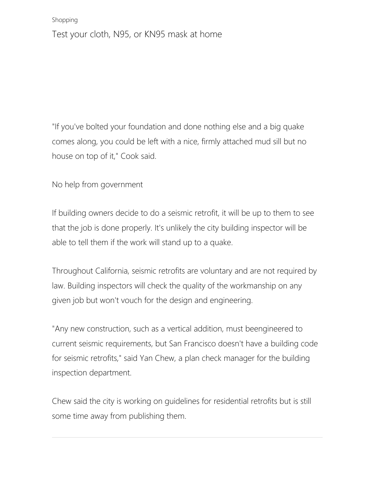#### [Shopping](https://www.sfgate.com/shopping/)

[Test your cloth, N95, or KN95 mask at home](https://www.sfgate.com/shopping/article/non-scientific-ways-to-test-your-face-masks-15575341.php)

"If you've bolted your foundation and done nothing else and a big quake comes along, you could be left with a nice, firmly attached mud sill but no house on top of it," Cook said.

No help from government

If building owners decide to do a seismic retrofit, it will be up to them to see that the job is done properly. It's unlikely the city building inspector will be able to tell them if the work will stand up to a quake.

Throughout California, seismic retrofits are voluntary and are not required by law. Building inspectors will check the quality of the workmanship on any given job but won't vouch for the design and engineering.

"Any new construction, such as a vertical addition, must beengineered to current seismic requirements, but San Francisco doesn't have a building code for seismic retrofits," said Yan Chew, a plan check manager for the building inspection department.

Chew said the city is working on guidelines for residential retrofits but is still some time away from publishing them.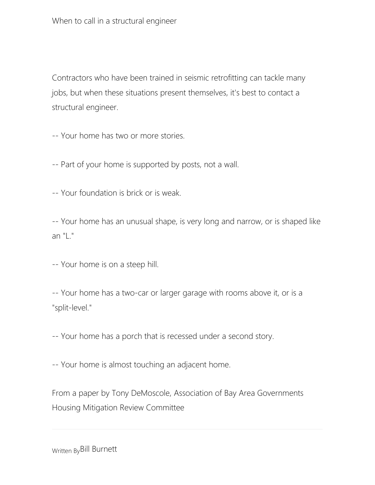Contractors who have been trained in seismic retrofitting can tackle many jobs, but when these situations present themselves, it's best to contact a structural engineer.

-- Your home has two or more stories.

-- Part of your home is supported by posts, not a wall.

-- Your foundation is brick or is weak.

-- Your home has an unusual shape, is very long and narrow, or is shaped like an "L."

-- Your home is on a steep hill.

-- Your home has a two-car or larger garage with rooms above it, or is a "split-level."

-- Your home has a porch that is recessed under a second story.

-- Your home is almost touching an adjacent home.

From a paper by Tony DeMoscole, Association of Bay Area Governments Housing Mitigation Review Committee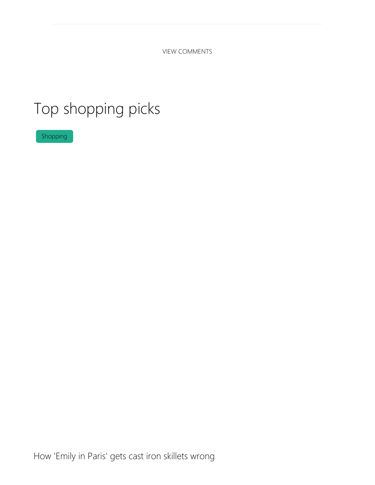<span id="page-9-0"></span>VIEW COMMENTS

## Top shopping picks

[Shopping](https://www.sfgate.com/shopping/article/Emily-in-Paris-harmful-cast-iron-story-15650641.php)

[How 'Emily in Paris' gets cast iron skillets wrong](https://www.sfgate.com/shopping/article/Emily-in-Paris-harmful-cast-iron-story-15650641.php)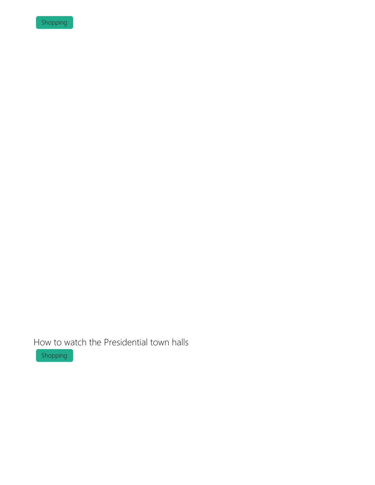[Shopping](https://www.sfgate.com/shopping/article/how-to-watch-presidential-town-halls-live-15651283.php)

[How to watch the Presidential town halls](https://www.sfgate.com/shopping/article/how-to-watch-presidential-town-halls-live-15651283.php)

[Shopping](https://www.sfgate.com/shopping/article/Quip-refillable-floss-pick-millennial-flossing-15650083.php)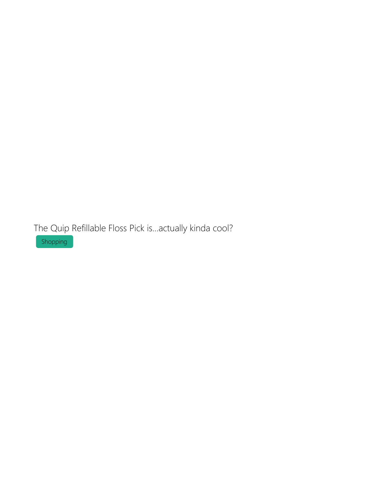[The Quip Refillable Floss Pick is...actually kinda cool?](https://www.sfgate.com/shopping/article/Quip-refillable-floss-pick-millennial-flossing-15650083.php)

[Shopping](https://www.sfgate.com/shopping/article/the-best-fall-themed-face-masks-15650240.php)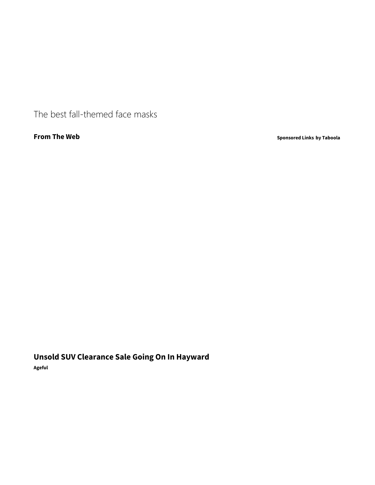[The best fall-themed face masks](https://www.sfgate.com/shopping/article/the-best-fall-themed-face-masks-15650240.php)

**From The Web [Sponsored Links](https://popup.taboola.com/en/?template=colorbox&utm_source=hearstlocalnews-sfgatecom&utm_medium=referral&utm_content=thumbnails-a:Mobile Below Article Feed - Redesign:)** [by Taboola](https://popup.taboola.com/en/?template=colorbox&utm_source=hearstlocalnews-sfgatecom&utm_medium=referral&utm_content=thumbnails-a:Mobile Below Article Feed - Redesign:)

**[Unsold SUV Clearance Sale Going On In Hayward](http://click.clktraker.com/aff_ad?campaign_id=7092&aff_id=9152&hostNameId=2951&utm_source=cpc&aff_sub=2894419120&aff_sub2=1117098&aff_sub3=Unsold+SUV+Clearance+Sale+Going+On+In+Hayward&aff_sub4=http%3A%2F%2Fcdn.taboola.com%2Flibtrc%2Fstatic%2Fthumbnails%2F0e55cde8354cbebe380da982af9766a0.jpg&aff_sub5=GiCTT9qhcIUDIId1pu3F6TYmzjaBjplYy3DLYFdF3VPvjSDSqz4&source=hearstlocalnews-sfgatecom#tblciGiCTT9qhcIUDIId1pu3F6TYmzjaBjplYy3DLYFdF3VPvjSDSqz4)**

**[Ageful](http://click.clktraker.com/aff_ad?campaign_id=7092&aff_id=9152&hostNameId=2951&utm_source=cpc&aff_sub=2894419120&aff_sub2=1117098&aff_sub3=Unsold+SUV+Clearance+Sale+Going+On+In+Hayward&aff_sub4=http%3A%2F%2Fcdn.taboola.com%2Flibtrc%2Fstatic%2Fthumbnails%2F0e55cde8354cbebe380da982af9766a0.jpg&aff_sub5=GiCTT9qhcIUDIId1pu3F6TYmzjaBjplYy3DLYFdF3VPvjSDSqz4&source=hearstlocalnews-sfgatecom#tblciGiCTT9qhcIUDIId1pu3F6TYmzjaBjplYy3DLYFdF3VPvjSDSqz4)**